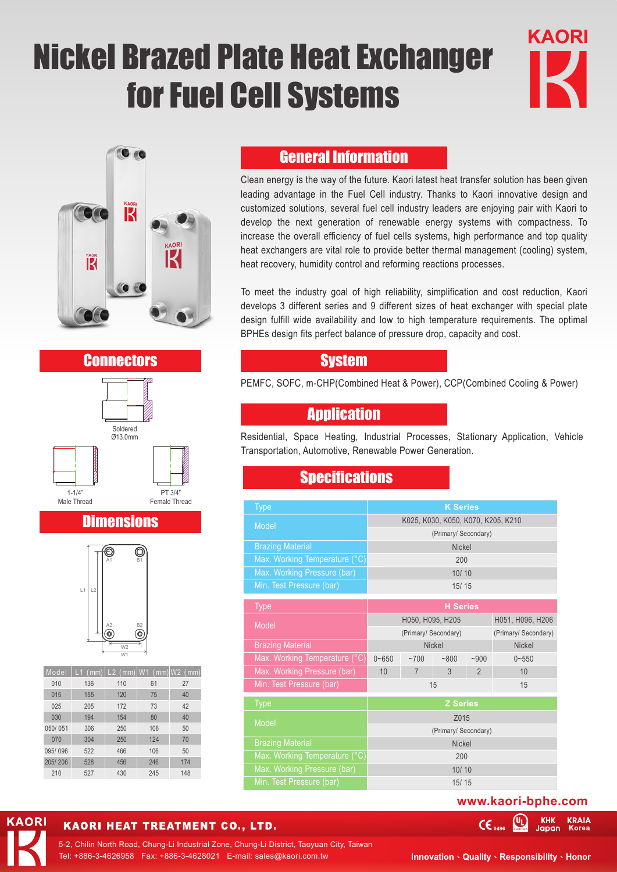# Nickel Brazed Plate Heat Exchanger for Fuel Cell Systems





#### **Connectors**



# **Dimensions**



| Model   |     |     |     | L1 $(mm)$ L2 $(mm)$ W1 $(mm)$ W2 $(mm)$ |  |
|---------|-----|-----|-----|-----------------------------------------|--|
| 010     | 136 | 110 | 61  | 27                                      |  |
| 015     | 155 | 120 | 75  | 40                                      |  |
| 025     | 205 | 172 | 73  | 42                                      |  |
| 030     | 194 | 154 | 80  | 40                                      |  |
| 050/051 | 306 | 250 | 106 | 50                                      |  |
| 070     | 304 | 250 | 124 | 70                                      |  |
| 095/096 | 522 | 466 | 106 | 50                                      |  |
| 205/206 | 528 | 456 | 246 | 174                                     |  |
| 210     | 527 | 430 | 245 | 148                                     |  |

**KAORI** 

### General Information

Clean energy is the way of the future. Kaori latest heat transfer solution has been given leading advantage in the Fuel Cell industry. Thanks to Kaori innovative design and customized solutions, several fuel cell industry leaders are enjoying pair with Kaori to develop the next generation of renewable energy systems with compactness. To increase the overall efficiency of fuel cells systems, high performance and top quality heat exchangers are vital role to provide better thermal management (cooling) system, heat recovery, humidity control and reforming reactions processes.

To meet the industry goal of high reliability, simplification and cost reduction, Kaori develops 3 different series and 9 different sizes of heat exchanger with special plate design fulfill wide availability and low to high temperature requirements. The optimal BPHEs design fits perfect balance of pressure drop, capacity and cost.

#### **System**

PEMFC, SOFC, m-CHP(Combined Heat & Power), CCP(Combined Cooling & Power)

#### **Application**

Residential, Space Heating, Industrial Processes, Stationary Application, Vehicle Transportation, Automotive, Renewable Power Generation.

#### **Specifications**

| <b>Type</b>                   | <b>K Series</b>                    |                |      |                      |                  |  |
|-------------------------------|------------------------------------|----------------|------|----------------------|------------------|--|
| Model                         | K025, K030, K050, K070, K205, K210 |                |      |                      |                  |  |
|                               | (Primary/ Secondary)               |                |      |                      |                  |  |
| <b>Brazing Material</b>       | <b>Nickel</b>                      |                |      |                      |                  |  |
| Max. Working Temperature (°C) | 200                                |                |      |                      |                  |  |
| Max. Working Pressure (bar)   | 10/10                              |                |      |                      |                  |  |
| Min. Test Pressure (bar)      | 15/15                              |                |      |                      |                  |  |
| <b>Type</b>                   | <b>H</b> Series                    |                |      |                      |                  |  |
|                               | H050, H095, H205                   |                |      |                      | H051, H096, H206 |  |
| Model                         | (Primary/ Secondary)               |                |      | (Primary/ Secondary) |                  |  |
| <b>Brazing Material</b>       | <b>Nickel</b>                      |                |      | <b>Nickel</b>        |                  |  |
| Max. Working Temperature (°C) | $0 - 650$                          | ~1700          | ~800 | $-900$               | $0 - 550$        |  |
| Max. Working Pressure (bar)   | 10                                 | $\overline{7}$ | 3    | $\overline{2}$       | 10               |  |
| Min. Test Pressure (bar)      | 15<br>15                           |                |      |                      |                  |  |
| <b>Type</b>                   | <b>Z</b> Series                    |                |      |                      |                  |  |
| Model                         | Z015                               |                |      |                      |                  |  |
|                               | (Primary/ Secondary)               |                |      |                      |                  |  |
| <b>Brazing Material</b>       | <b>Nickel</b>                      |                |      |                      |                  |  |
| Max. Working Temperature (°C) | 200                                |                |      |                      |                  |  |
| Max. Working Pressure (bar)   | 10/10                              |                |      |                      |                  |  |
| Min. Test Pressure (bar)      | 15/15                              |                |      |                      |                  |  |

#### **www.kaori-bphe.com**

四

**KHK** 

Japan

**KRAIA** 

KAORI HEAT TREATMENT CO., LTD.

Tel: +886-3-4626958 Fax: +886-3-4628021 E-mail: sales@kaori.com.tw 5-2, Chilin North Road, Chung-Li Industrial Zone, Chung-Li District, Taoyuan City, Taiwan

**Innovation > Quality > Responsibility > Honor** 

 $CE<sub>0496</sub>$